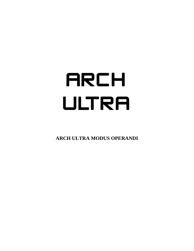# **ARCH** ULTRA

**ARCH ULTRA MODUS OPERANDI**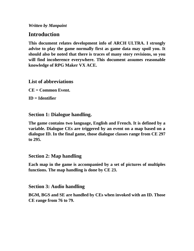*Written by Manpaint*

# **Introduction**

**This document relates development info of ARCH ULTRA. I strongly advise to play the game normally first as game data may spoil you. It should also be noted that there is traces of many story revisions, so you will find incoherence everywhere. This document assumes reasonable knowledge of RPG Maker VX ACE.**

## **List of abbreviations**

**CE = Common Event.**

**ID = Identifier**

### **Section 1: Dialogue handling.**

**The game contains two language, English and French. It is defined by a variable. Dialogue CEs are triggered by an event on a map based on a dialogue ID. In the final game, those dialogue classes range from CE 297 to 295.** 

#### **Section 2: Map handling**

**Each map in the game is accompanied by a set of pictures of multiples functions. The map handling is done by CE 23.**

#### **Section 3: Audio handling**

**BGM, BGS and SE are handled by CEs when invoked with an ID. Those CE range from 76 to 79.**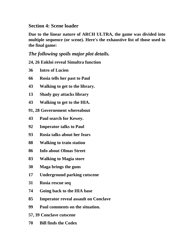# **Section 4: Scene loader**

**Due to the linear nature of ARCH ULTRA, the game was divided into multiple sequence (or scene). Here's the exhaustive list of those used in the final game:**

# *The following spoils major plot details.*

**24, 26 Enkloi reveal Simultra function**

- **Intro of Lucien**
- **Rosia tells her past to Paul**
- **Walking to get to the library.**
- **Shady guy attacks library**
- **Walking to get to the HIA.**
- **91, 28 Governement whereabout**
- **Paul search for Kewey.**
- **Imperator talks to Paul**
- **Rosia talks about her fears**
- **Walking to train station**
- **Info about Olmas Street**
- **Walking to Magia store**
- **Maga brings the guns**
- **Underground parking cutscene**
- **Rosia rescue seq**
- **Going back to the HIA base**
- **Imperator reveal assault on Conclave**
- **Paul comments on the situation.**
- **57, 39 Conclave cutscene**
- **Bill finds the Codex**